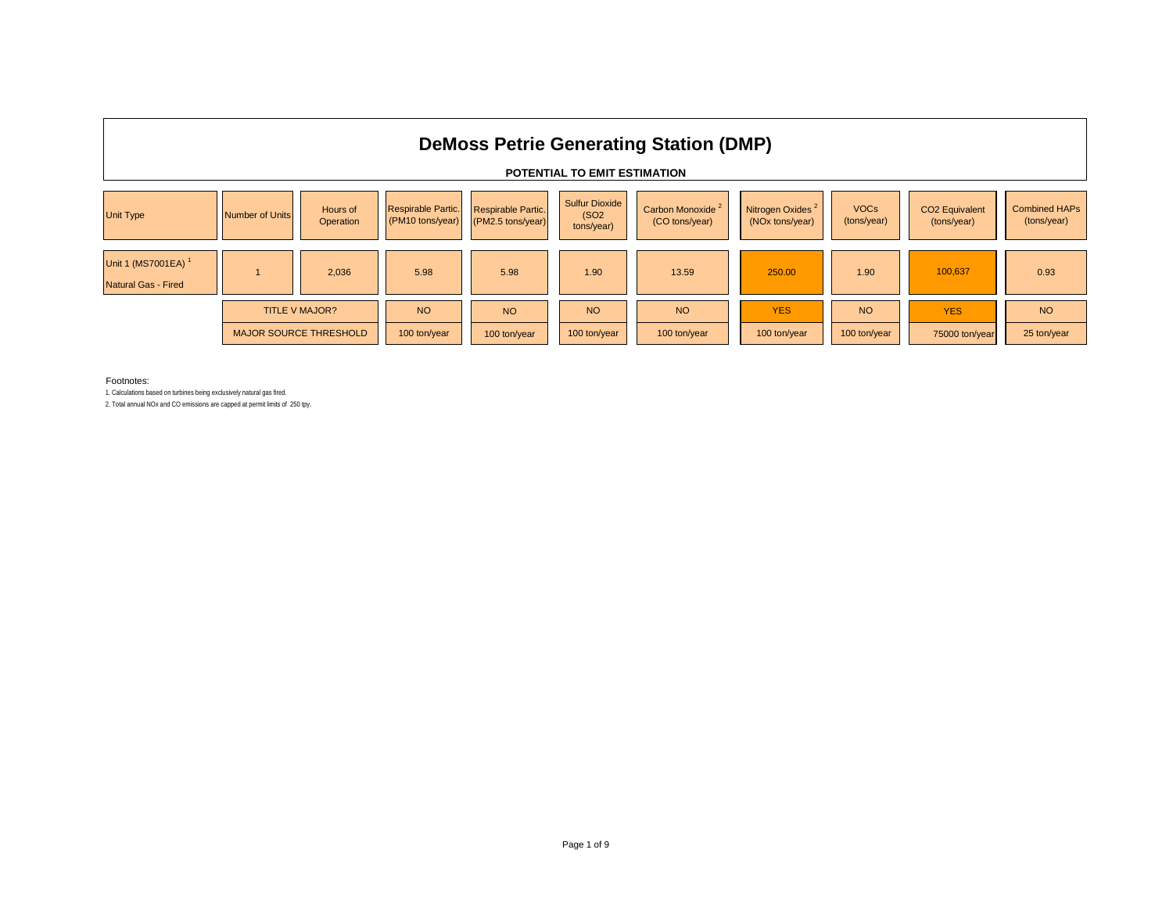

#### Footnotes:

1. Calculations based on turbines being exclusively natural gas fired.

2. Total annual NOx and CO emissions are capped at permit limits of 250 tpy.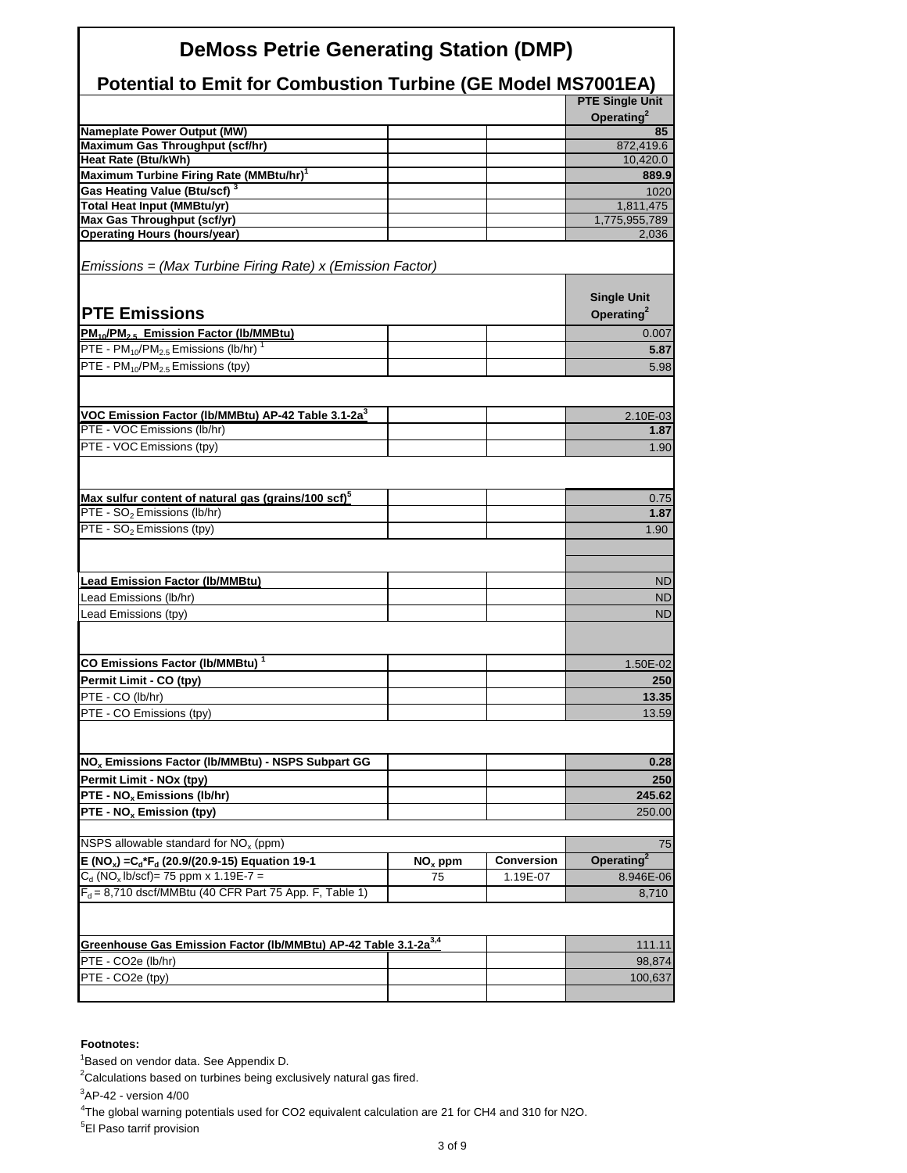| <b>DeMoss Petrie Generating Station (DMP)</b>                                       |           |                   |                                              |  |  |  |  |  |  |
|-------------------------------------------------------------------------------------|-----------|-------------------|----------------------------------------------|--|--|--|--|--|--|
| <b>Potential to Emit for Combustion Turbine (GE Model MS7001EA)</b>                 |           |                   |                                              |  |  |  |  |  |  |
|                                                                                     |           |                   | <b>PTE Single Unit</b>                       |  |  |  |  |  |  |
|                                                                                     |           |                   | Operating <sup>2</sup>                       |  |  |  |  |  |  |
| <b>Nameplate Power Output (MW)</b>                                                  |           |                   | 85                                           |  |  |  |  |  |  |
| Maximum Gas Throughput (scf/hr)<br>Heat Rate (Btu/kWh)                              |           |                   | 872,419.6<br>10,420.0                        |  |  |  |  |  |  |
| Maximum Turbine Firing Rate (MMBtu/hr) <sup>1</sup>                                 |           |                   | 889.9                                        |  |  |  |  |  |  |
| Gas Heating Value (Btu/scf) <sup>3</sup>                                            |           |                   | 1020                                         |  |  |  |  |  |  |
| <b>Total Heat Input (MMBtu/yr)</b>                                                  |           |                   | 1,811,475                                    |  |  |  |  |  |  |
| Max Gas Throughput (scf/yr)                                                         |           |                   | 1,775,955,789                                |  |  |  |  |  |  |
| <b>Operating Hours (hours/year)</b>                                                 |           |                   | 2,036                                        |  |  |  |  |  |  |
| Emissions = (Max Turbine Firing Rate) x (Emission Factor)                           |           |                   |                                              |  |  |  |  |  |  |
| <b>PTE Emissions</b>                                                                |           |                   | <b>Single Unit</b><br>Operating <sup>2</sup> |  |  |  |  |  |  |
| PM <sub>10</sub> /PM <sub>25</sub> Emission Factor (Ib/MMBtu)                       |           |                   | 0.007                                        |  |  |  |  |  |  |
| PTE - $PM_{10}/PM_{2.5}$ Emissions (lb/hr) <sup>1</sup>                             |           |                   | 5.87                                         |  |  |  |  |  |  |
| PTE - $PM_{10}/PM_{2.5}$ Emissions (tpy)                                            |           |                   | 5.98                                         |  |  |  |  |  |  |
|                                                                                     |           |                   |                                              |  |  |  |  |  |  |
| VOC Emission Factor (lb/MMBtu) AP-42 Table 3.1-2a <sup>3</sup>                      |           |                   | 2.10E-03                                     |  |  |  |  |  |  |
| PTE - VOC Emissions (lb/hr)                                                         |           |                   | 1.87                                         |  |  |  |  |  |  |
| PTE - VOC Emissions (tpy)                                                           |           |                   | 1.90                                         |  |  |  |  |  |  |
|                                                                                     |           |                   |                                              |  |  |  |  |  |  |
| Max sulfur content of natural gas (grains/100 scf) <sup>5</sup>                     |           |                   | 0.75                                         |  |  |  |  |  |  |
| PTE - SO <sub>2</sub> Emissions (lb/hr)                                             |           |                   | 1.87                                         |  |  |  |  |  |  |
| PTE - SO <sub>2</sub> Emissions (tpy)                                               |           |                   | 1.90                                         |  |  |  |  |  |  |
| <b>Lead Emission Factor (Ib/MMBtu)</b>                                              |           |                   | ND                                           |  |  |  |  |  |  |
| Lead Emissions (lb/hr)                                                              |           |                   | <b>ND</b>                                    |  |  |  |  |  |  |
| Lead Emissions (tpy)                                                                |           |                   | <b>ND</b>                                    |  |  |  |  |  |  |
| CO Emissions Factor (Ib/MMBtu) <sup>1</sup>                                         |           |                   | 1.50E-02                                     |  |  |  |  |  |  |
| Permit Limit - CO (tpy)                                                             |           |                   | 250                                          |  |  |  |  |  |  |
| PTE - CO (lb/hr)                                                                    |           |                   | 13.35                                        |  |  |  |  |  |  |
| PTE - CO Emissions (tpy)                                                            |           |                   | 13.59                                        |  |  |  |  |  |  |
|                                                                                     |           |                   |                                              |  |  |  |  |  |  |
| NO <sub>x</sub> Emissions Factor (Ib/MMBtu) - NSPS Subpart GG                       |           |                   | 0.28                                         |  |  |  |  |  |  |
| Permit Limit - NOx (tpy)                                                            |           |                   | 250                                          |  |  |  |  |  |  |
| PTE - NO <sub>x</sub> Emissions (lb/hr)                                             |           |                   | 245.62                                       |  |  |  |  |  |  |
| PTE - NO <sub>x</sub> Emission (tpy)                                                |           |                   | 250.00                                       |  |  |  |  |  |  |
| NSPS allowable standard for NO <sub>x</sub> (ppm)                                   |           |                   | 75                                           |  |  |  |  |  |  |
| E (NO <sub>x</sub> ) = C <sub>d</sub> *F <sub>d</sub> (20.9/(20.9-15) Equation 19-1 | $NOx$ ppm | <b>Conversion</b> | Operating <sup>2</sup>                       |  |  |  |  |  |  |
| $C_d$ (NO <sub>x</sub> lb/scf)= 75 ppm x 1.19E-7 =                                  | 75        | 1.19E-07          | 8.946E-06                                    |  |  |  |  |  |  |
| $F_d = 8,710$ dscf/MMBtu (40 CFR Part 75 App. F, Table 1)                           |           |                   | 8,710                                        |  |  |  |  |  |  |
|                                                                                     |           |                   |                                              |  |  |  |  |  |  |
| Greenhouse Gas Emission Factor (Ib/MMBtu) AP-42 Table 3.1-2a <sup>3,4</sup>         |           |                   | 111.11                                       |  |  |  |  |  |  |
| PTE - CO2e (lb/hr)                                                                  |           |                   | 98,874                                       |  |  |  |  |  |  |
| PTE - CO2e (tpy)                                                                    |           |                   | 100,637                                      |  |  |  |  |  |  |
|                                                                                     |           |                   |                                              |  |  |  |  |  |  |

#### **Footnotes:**

1 Based on vendor data. See Appendix D.

 $2$ Calculations based on turbines being exclusively natural gas fired.

 ${}^{3}$ AP-42 - version 4/00

4 The global warning potentials used for CO2 equivalent calculation are 21 for CH4 and 310 for N2O.

<sup>5</sup>El Paso tarrif provision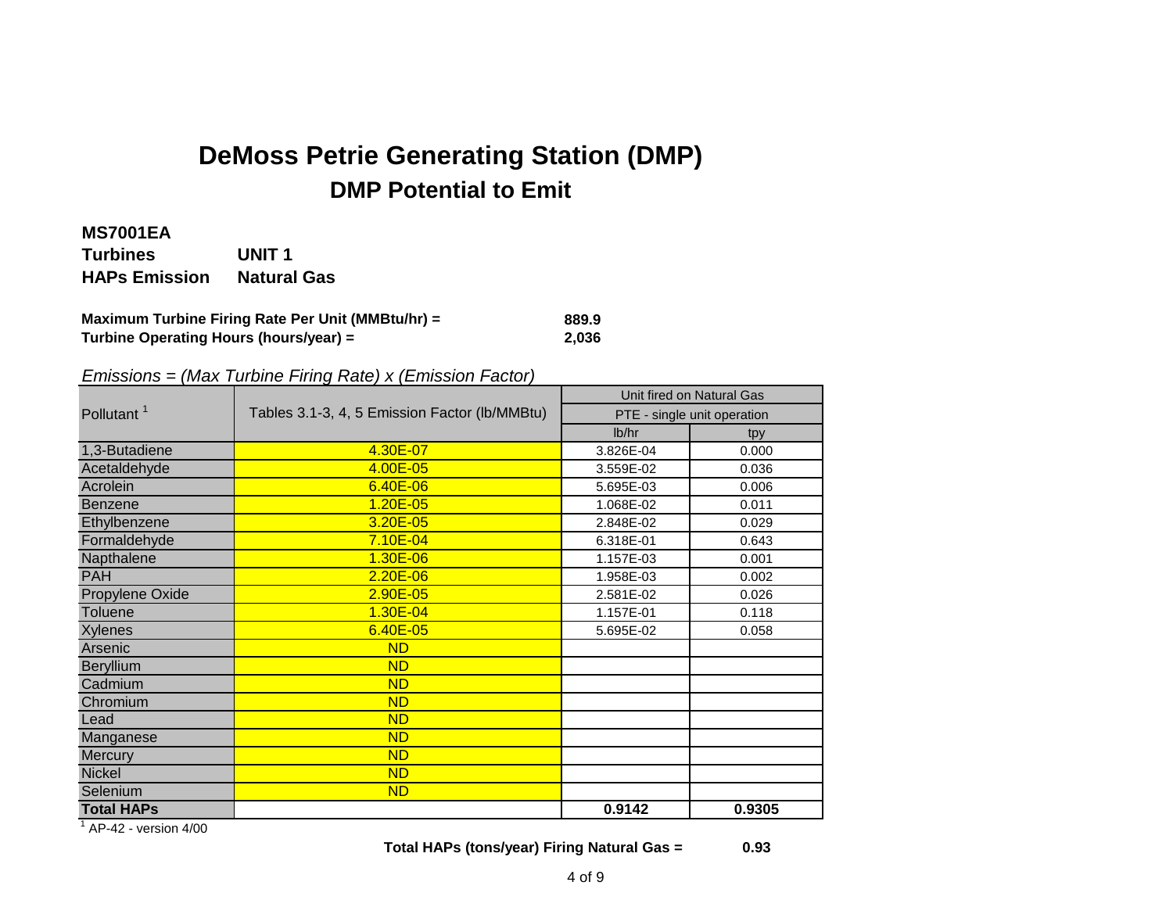# **DMP Potential to Emit DeMoss Petrie Generating Station (DMP)**

# **MS7001EA**

**Turbines UNIT 1 HAPs Emission Natural Gas**

### **Maximum Turbine Firing Rate Per Unit (MMBtu/hr) = 889.9**<br>Turbine Operating Hours (hours/year) = 2.036 **Turbine Operating Hours (hours/year) = 2,036**

## *Emissions = (Max Turbine Firing Rate) x (Emission Factor)*

|                        |                                               | Unit fired on Natural Gas   |        |  |  |  |  |
|------------------------|-----------------------------------------------|-----------------------------|--------|--|--|--|--|
| Pollutant <sup>1</sup> | Tables 3.1-3, 4, 5 Emission Factor (lb/MMBtu) | PTE - single unit operation |        |  |  |  |  |
|                        |                                               | lb/hr                       | tpy    |  |  |  |  |
| 1,3-Butadiene          | 4.30E-07                                      | 3.826E-04                   | 0.000  |  |  |  |  |
| Acetaldehyde           | 4.00E-05                                      | 3.559E-02                   | 0.036  |  |  |  |  |
| Acrolein               | $6.40E - 06$                                  | 5.695E-03                   | 0.006  |  |  |  |  |
| <b>Benzene</b>         | 1.20E-05                                      | 1.068E-02                   | 0.011  |  |  |  |  |
| Ethylbenzene           | 3.20E-05                                      | 2.848E-02                   | 0.029  |  |  |  |  |
| Formaldehyde           | 7.10E-04                                      | 6.318E-01                   | 0.643  |  |  |  |  |
| Napthalene             | $1.30E - 06$                                  | 1.157E-03                   | 0.001  |  |  |  |  |
| <b>PAH</b>             | $2.20E - 06$                                  | 1.958E-03                   | 0.002  |  |  |  |  |
| Propylene Oxide        | $2.90E - 05$                                  | 2.581E-02                   | 0.026  |  |  |  |  |
| <b>Toluene</b>         | 1.30E-04                                      | 1.157E-01                   | 0.118  |  |  |  |  |
| <b>Xylenes</b>         | 6.40E-05                                      | 5.695E-02                   | 0.058  |  |  |  |  |
| Arsenic                | <b>ND</b>                                     |                             |        |  |  |  |  |
| <b>Beryllium</b>       | <b>ND</b>                                     |                             |        |  |  |  |  |
| Cadmium                | <b>ND</b>                                     |                             |        |  |  |  |  |
| Chromium               | <b>ND</b>                                     |                             |        |  |  |  |  |
| Lead                   | <b>ND</b>                                     |                             |        |  |  |  |  |
| Manganese              | <b>ND</b>                                     |                             |        |  |  |  |  |
| Mercury                | <b>ND</b>                                     |                             |        |  |  |  |  |
| <b>Nickel</b>          | <b>ND</b>                                     |                             |        |  |  |  |  |
| Selenium               | <b>ND</b>                                     |                             |        |  |  |  |  |
| <b>Total HAPs</b>      |                                               | 0.9142                      | 0.9305 |  |  |  |  |

 $1$  AP-42 - version 4/00

**Total HAPs (tons/year) Firing Natural Gas = 0.93**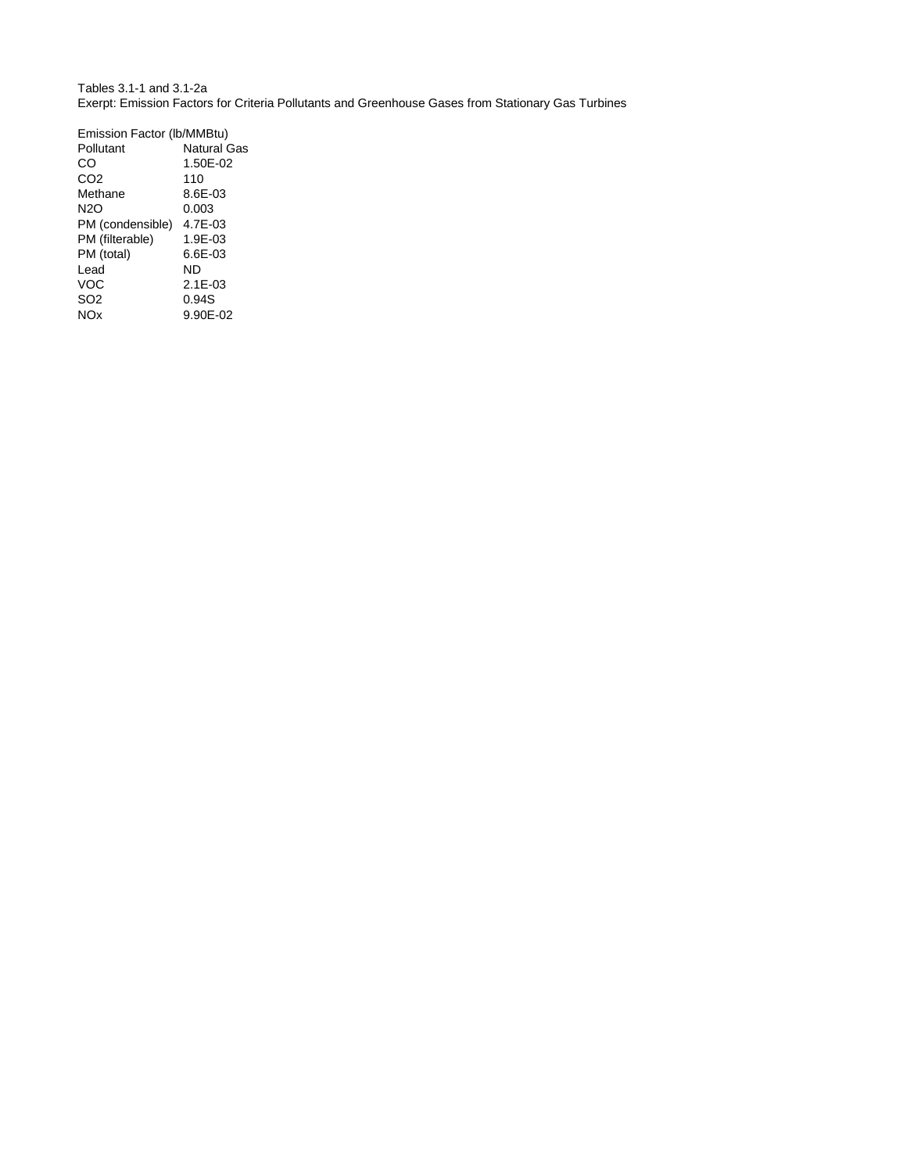Tables 3.1-1 and 3.1-2a Exerpt: Emission Factors for Criteria Pollutants and Greenhouse Gases from Stationary Gas Turbines

| Emission Factor (Ib/MMBtu) |              |  |  |  |  |  |  |
|----------------------------|--------------|--|--|--|--|--|--|
| Pollutant                  | Natural Gas  |  |  |  |  |  |  |
| ററ                         | 1.50E-02     |  |  |  |  |  |  |
| CO <sub>2</sub>            | 110          |  |  |  |  |  |  |
| Methane                    | 8.6E-03      |  |  |  |  |  |  |
| N2O                        | 0.003        |  |  |  |  |  |  |
| PM (condensible)           | 4.7E-03      |  |  |  |  |  |  |
| PM (filterable)            | 1.9E-03      |  |  |  |  |  |  |
| PM (total)                 | 6.6E-03      |  |  |  |  |  |  |
| Lead                       | ND           |  |  |  |  |  |  |
| VOC                        | $2.1E - 0.3$ |  |  |  |  |  |  |
| SO2                        | 0.94S        |  |  |  |  |  |  |
| <b>NOx</b>                 | 9.90E-02     |  |  |  |  |  |  |
|                            |              |  |  |  |  |  |  |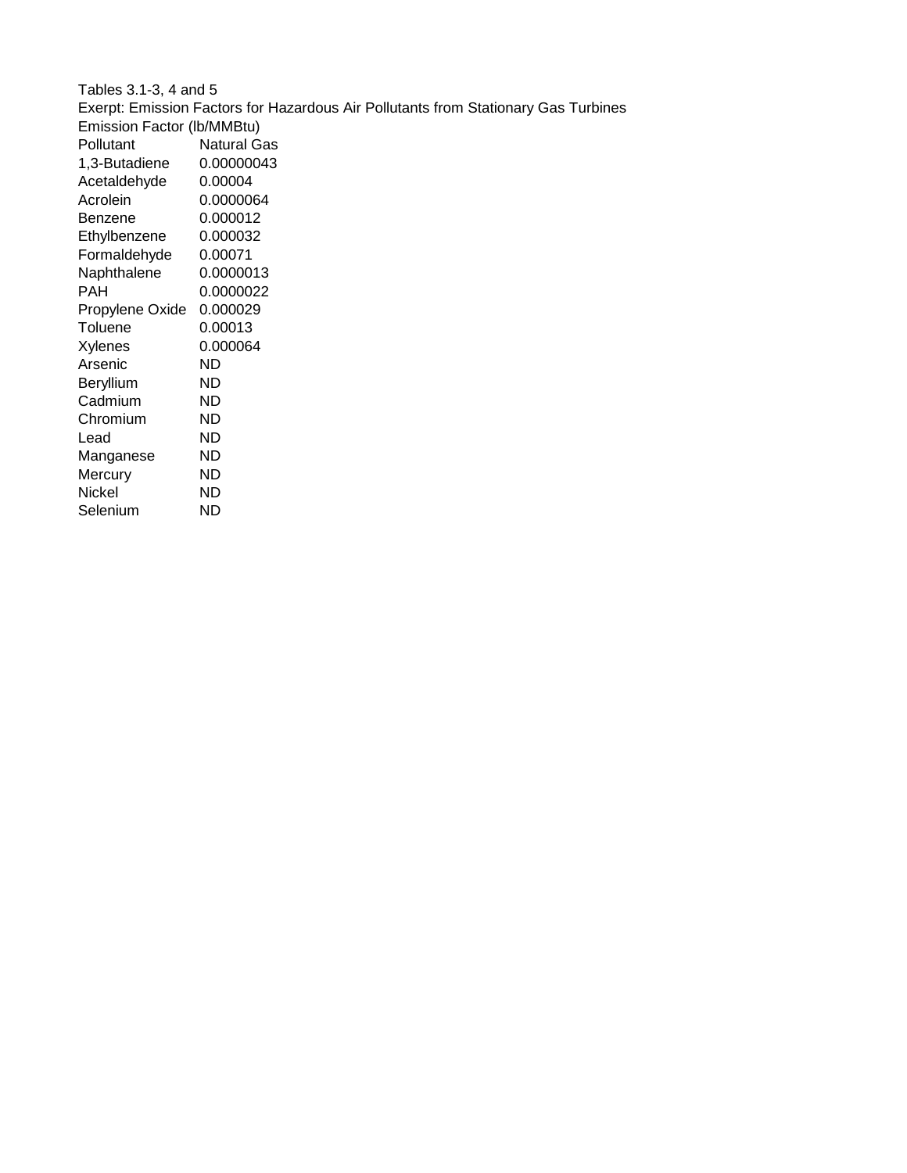| Tables 3.1-3, 4 and 5                                                              |                    |  |  |  |  |  |  |
|------------------------------------------------------------------------------------|--------------------|--|--|--|--|--|--|
| Exerpt: Emission Factors for Hazardous Air Pollutants from Stationary Gas Turbines |                    |  |  |  |  |  |  |
| Emission Factor (lb/MMBtu)                                                         |                    |  |  |  |  |  |  |
| Pollutant                                                                          | <b>Natural Gas</b> |  |  |  |  |  |  |
| 1,3-Butadiene                                                                      | 0.00000043         |  |  |  |  |  |  |
| Acetaldehyde                                                                       | 0.00004            |  |  |  |  |  |  |
| Acrolein                                                                           | 0.0000064          |  |  |  |  |  |  |
| Benzene                                                                            | 0.000012           |  |  |  |  |  |  |
| Ethylbenzene                                                                       | 0.000032           |  |  |  |  |  |  |
| Formaldehyde                                                                       | 0.00071            |  |  |  |  |  |  |
| Naphthalene                                                                        | 0.0000013          |  |  |  |  |  |  |
| PAH                                                                                | 0.0000022          |  |  |  |  |  |  |
| Propylene Oxide                                                                    | 0.000029           |  |  |  |  |  |  |
| Toluene                                                                            | 0.00013            |  |  |  |  |  |  |
| <b>Xylenes</b>                                                                     | 0.000064           |  |  |  |  |  |  |
| Arsenic                                                                            | ND.                |  |  |  |  |  |  |
| <b>Beryllium</b>                                                                   | ND.                |  |  |  |  |  |  |
| Cadmium                                                                            | ND.                |  |  |  |  |  |  |
| Chromium                                                                           | ND.                |  |  |  |  |  |  |
| Lead                                                                               | ND                 |  |  |  |  |  |  |
| Manganese                                                                          | ND                 |  |  |  |  |  |  |
| Mercury                                                                            | ND.                |  |  |  |  |  |  |
| <b>Nickel</b>                                                                      | ND                 |  |  |  |  |  |  |
| Selenium                                                                           | ND                 |  |  |  |  |  |  |